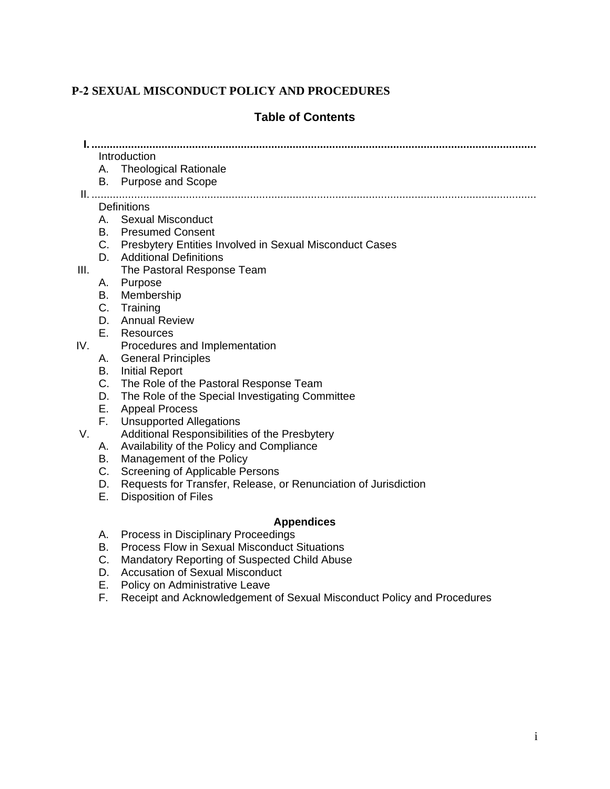# **P-2 SEXUAL MISCONDUCT POLICY AND PROCEDURES**

## **Table of Contents**

**I. ..................................................................................................................................................**

# Introduction

- A. Theological Rationale
- B. Purpose and Scope

II. ..................................................................................................................................................

#### **Definitions**

- A. Sexual Misconduct
- B. Presumed Consent
- C. Presbytery Entities Involved in Sexual Misconduct Cases
- D. Additional Definitions
- III. The Pastoral Response Team
	- A. Purpose
	- B. Membership
	- C. Training
	- D. Annual Review
	- E. Resources
- IV. Procedures and Implementation
	- A. General Principles
	- B. Initial Report
	- C. The Role of the Pastoral Response Team
	- D. The Role of the Special Investigating Committee
	- E. Appeal Process
	- F. Unsupported Allegations
- V. Additional Responsibilities of the Presbytery
	- A. Availability of the Policy and Compliance
	- B. Management of the Policy
	- C. Screening of Applicable Persons
	- D. Requests for Transfer, Release, or Renunciation of Jurisdiction
	- E. Disposition of Files

#### **Appendices**

- A. Process in Disciplinary Proceedings
- B. Process Flow in Sexual Misconduct Situations
- C. Mandatory Reporting of Suspected Child Abuse
- D. Accusation of Sexual Misconduct
- E. Policy on Administrative Leave
- F. Receipt and Acknowledgement of Sexual Misconduct Policy and Procedures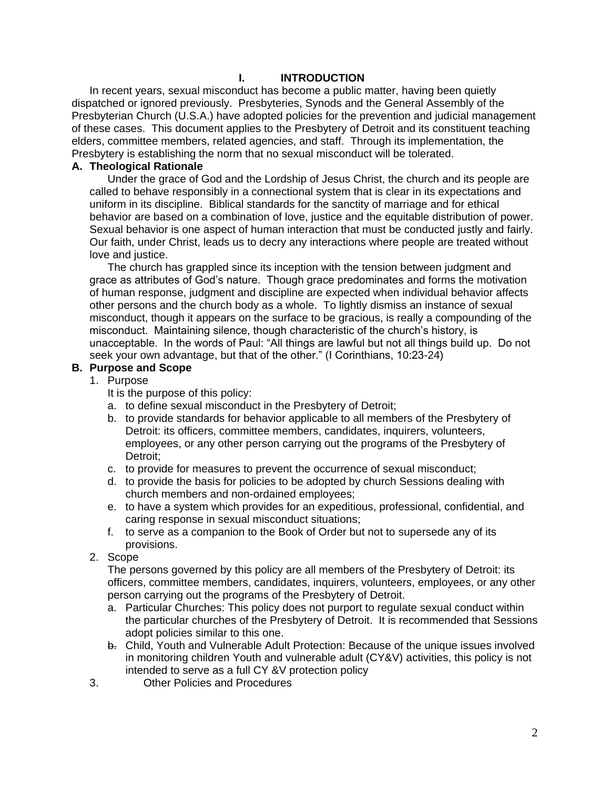#### **I. INTRODUCTION**

In recent years, sexual misconduct has become a public matter, having been quietly dispatched or ignored previously. Presbyteries, Synods and the General Assembly of the Presbyterian Church (U.S.A.) have adopted policies for the prevention and judicial management of these cases. This document applies to the Presbytery of Detroit and its constituent teaching elders, committee members, related agencies, and staff. Through its implementation, the Presbytery is establishing the norm that no sexual misconduct will be tolerated.

#### **A. Theological Rationale**

Under the grace of God and the Lordship of Jesus Christ, the church and its people are called to behave responsibly in a connectional system that is clear in its expectations and uniform in its discipline. Biblical standards for the sanctity of marriage and for ethical behavior are based on a combination of love, justice and the equitable distribution of power. Sexual behavior is one aspect of human interaction that must be conducted justly and fairly. Our faith, under Christ, leads us to decry any interactions where people are treated without love and justice.

The church has grappled since its inception with the tension between judgment and grace as attributes of God's nature. Though grace predominates and forms the motivation of human response, judgment and discipline are expected when individual behavior affects other persons and the church body as a whole. To lightly dismiss an instance of sexual misconduct, though it appears on the surface to be gracious, is really a compounding of the misconduct. Maintaining silence, though characteristic of the church's history, is unacceptable. In the words of Paul: "All things are lawful but not all things build up. Do not seek your own advantage, but that of the other." (I Corinthians, 10:23-24)

#### **B. Purpose and Scope**

#### 1. Purpose

It is the purpose of this policy:

- a. to define sexual misconduct in the Presbytery of Detroit;
- b. to provide standards for behavior applicable to all members of the Presbytery of Detroit: its officers, committee members, candidates, inquirers, volunteers, employees, or any other person carrying out the programs of the Presbytery of Detroit;
- c. to provide for measures to prevent the occurrence of sexual misconduct;
- d. to provide the basis for policies to be adopted by church Sessions dealing with church members and non-ordained employees;
- e. to have a system which provides for an expeditious, professional, confidential, and caring response in sexual misconduct situations;
- f. to serve as a companion to the Book of Order but not to supersede any of its provisions.
- 2. Scope

The persons governed by this policy are all members of the Presbytery of Detroit: its officers, committee members, candidates, inquirers, volunteers, employees, or any other person carrying out the programs of the Presbytery of Detroit.

- a. Particular Churches: This policy does not purport to regulate sexual conduct within the particular churches of the Presbytery of Detroit. It is recommended that Sessions adopt policies similar to this one.
- b. Child, Youth and Vulnerable Adult Protection: Because of the unique issues involved in monitoring children Youth and vulnerable adult (CY&V) activities, this policy is not intended to serve as a full CY &V protection policy
- 3. Other Policies and Procedures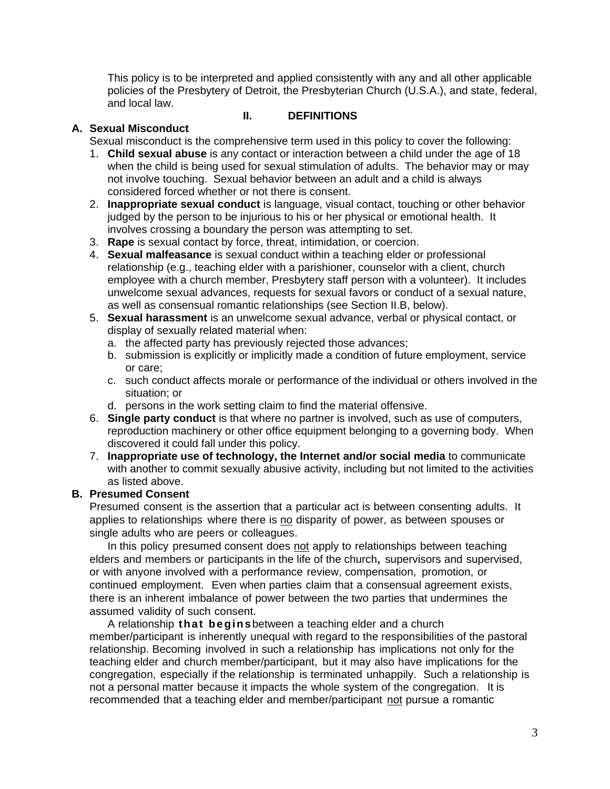This policy is to be interpreted and applied consistently with any and all other applicable policies of the Presbytery of Detroit, the Presbyterian Church (U.S.A.), and state, federal, and local law.

### **A. Sexual Misconduct**

**II. DEFINITIONS**

Sexual misconduct is the comprehensive term used in this policy to cover the following:

- 1. **Child sexual abuse** is any contact or interaction between a child under the age of 18 when the child is being used for sexual stimulation of adults. The behavior may or may not involve touching. Sexual behavior between an adult and a child is always considered forced whether or not there is consent.
- 2. **Inappropriate sexual conduct** is language, visual contact, touching or other behavior judged by the person to be injurious to his or her physical or emotional health. It involves crossing a boundary the person was attempting to set.
- 3. **Rape** is sexual contact by force, threat, intimidation, or coercion.
- 4. **Sexual malfeasance** is sexual conduct within a teaching elder or professional relationship (e.g., teaching elder with a parishioner, counselor with a client, church employee with a church member, Presbytery staff person with a volunteer). It includes unwelcome sexual advances, requests for sexual favors or conduct of a sexual nature, as well as consensual romantic relationships (see Section II.B, below).
- 5. **Sexual harassment** is an unwelcome sexual advance, verbal or physical contact, or display of sexually related material when:
	- a. the affected party has previously rejected those advances;
	- b. submission is explicitly or implicitly made a condition of future employment, service or care;
	- c. such conduct affects morale or performance of the individual or others involved in the situation; or
	- d. persons in the work setting claim to find the material offensive.
- 6. **Single party conduct** is that where no partner is involved, such as use of computers, reproduction machinery or other office equipment belonging to a governing body. When discovered it could fall under this policy.
- 7. **Inappropriate use of technology, the Internet and/or social media** to communicate with another to commit sexually abusive activity, including but not limited to the activities as listed above.

# **B. Presumed Consent**

Presumed consent is the assertion that a particular act is between consenting adults. It applies to relationships where there is no disparity of power, as between spouses or single adults who are peers or colleagues.

In this policy presumed consent does not apply to relationships between teaching elders and members or participants in the life of the church**,** supervisors and supervised, or with anyone involved with a performance review, compensation, promotion, or continued employment. Even when parties claim that a consensual agreement exists, there is an inherent imbalance of power between the two parties that undermines the assumed validity of such consent.

A relationship **that begins**between a teaching elder and a church member/participant is inherently unequal with regard to the responsibilities of the pastoral relationship. Becoming involved in such a relationship has implications not only for the teaching elder and church member/participant, but it may also have implications for the congregation, especially if the relationship is terminated unhappily. Such a relationship is not a personal matter because it impacts the whole system of the congregation. It is recommended that a teaching elder and member/participant not pursue a romantic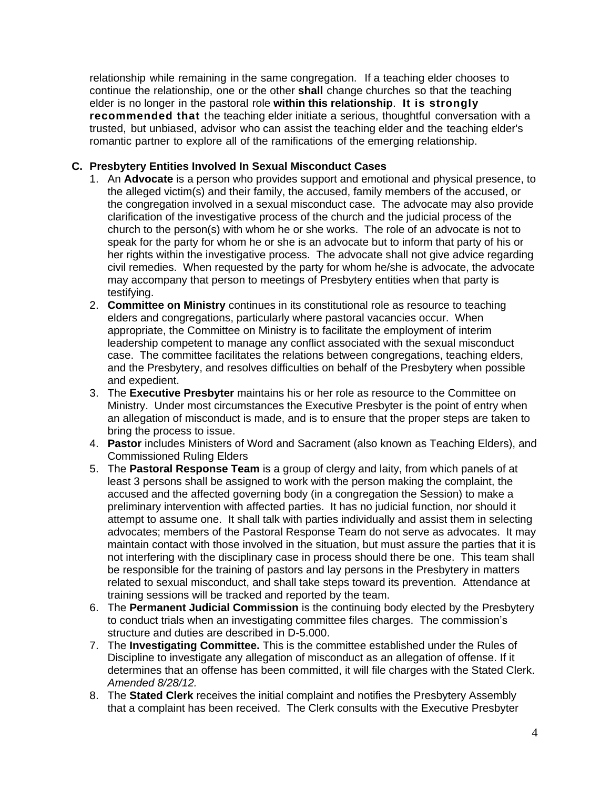relationship while remaining in the same congregation. If a teaching elder chooses to continue the relationship, one or the other **shall** change churches so that the teaching elder is no longer in the pastoral role **within this relationship**. **It is strongly recommended that** the teaching elder initiate a serious, thoughtful conversation with a trusted, but unbiased, advisor who can assist the teaching elder and the teaching elder's romantic partner to explore all of the ramifications of the emerging relationship.

### **C. Presbytery Entities Involved In Sexual Misconduct Cases**

- 1. An **Advocate** is a person who provides support and emotional and physical presence, to the alleged victim(s) and their family, the accused, family members of the accused, or the congregation involved in a sexual misconduct case. The advocate may also provide clarification of the investigative process of the church and the judicial process of the church to the person(s) with whom he or she works. The role of an advocate is not to speak for the party for whom he or she is an advocate but to inform that party of his or her rights within the investigative process. The advocate shall not give advice regarding civil remedies. When requested by the party for whom he/she is advocate, the advocate may accompany that person to meetings of Presbytery entities when that party is testifying.
- 2. **Committee on Ministry** continues in its constitutional role as resource to teaching elders and congregations, particularly where pastoral vacancies occur. When appropriate, the Committee on Ministry is to facilitate the employment of interim leadership competent to manage any conflict associated with the sexual misconduct case. The committee facilitates the relations between congregations, teaching elders, and the Presbytery, and resolves difficulties on behalf of the Presbytery when possible and expedient.
- 3. The **Executive Presbyter** maintains his or her role as resource to the Committee on Ministry. Under most circumstances the Executive Presbyter is the point of entry when an allegation of misconduct is made, and is to ensure that the proper steps are taken to bring the process to issue.
- 4. **Pastor** includes Ministers of Word and Sacrament (also known as Teaching Elders), and Commissioned Ruling Elders
- 5. The **Pastoral Response Team** is a group of clergy and laity, from which panels of at least 3 persons shall be assigned to work with the person making the complaint, the accused and the affected governing body (in a congregation the Session) to make a preliminary intervention with affected parties. It has no judicial function, nor should it attempt to assume one. It shall talk with parties individually and assist them in selecting advocates; members of the Pastoral Response Team do not serve as advocates. It may maintain contact with those involved in the situation, but must assure the parties that it is not interfering with the disciplinary case in process should there be one. This team shall be responsible for the training of pastors and lay persons in the Presbytery in matters related to sexual misconduct, and shall take steps toward its prevention. Attendance at training sessions will be tracked and reported by the team.
- 6. The **Permanent Judicial Commission** is the continuing body elected by the Presbytery to conduct trials when an investigating committee files charges. The commission's structure and duties are described in D-5.000.
- 7. The **Investigating Committee.** This is the committee established under the Rules of Discipline to investigate any allegation of misconduct as an allegation of offense. If it determines that an offense has been committed, it will file charges with the Stated Clerk. *Amended 8/28/12.*
- 8. The **Stated Clerk** receives the initial complaint and notifies the Presbytery Assembly that a complaint has been received. The Clerk consults with the Executive Presbyter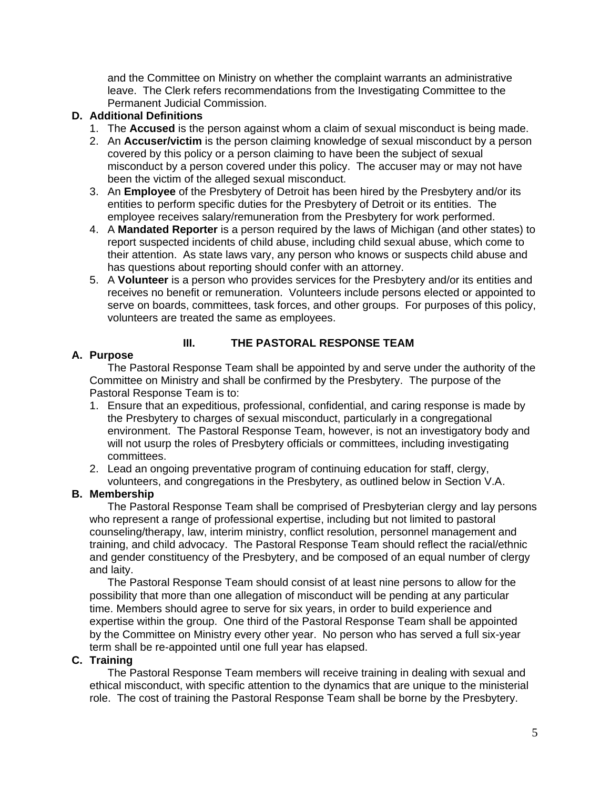and the Committee on Ministry on whether the complaint warrants an administrative leave. The Clerk refers recommendations from the Investigating Committee to the Permanent Judicial Commission.

#### **D. Additional Definitions**

- 1. The **Accused** is the person against whom a claim of sexual misconduct is being made.
- 2. An **Accuser/victim** is the person claiming knowledge of sexual misconduct by a person covered by this policy or a person claiming to have been the subject of sexual misconduct by a person covered under this policy. The accuser may or may not have been the victim of the alleged sexual misconduct.
- 3. An **Employee** of the Presbytery of Detroit has been hired by the Presbytery and/or its entities to perform specific duties for the Presbytery of Detroit or its entities. The employee receives salary/remuneration from the Presbytery for work performed.
- 4. A **Mandated Reporter** is a person required by the laws of Michigan (and other states) to report suspected incidents of child abuse, including child sexual abuse, which come to their attention. As state laws vary, any person who knows or suspects child abuse and has questions about reporting should confer with an attorney.
- 5. A **Volunteer** is a person who provides services for the Presbytery and/or its entities and receives no benefit or remuneration. Volunteers include persons elected or appointed to serve on boards, committees, task forces, and other groups. For purposes of this policy, volunteers are treated the same as employees.

#### **III. THE PASTORAL RESPONSE TEAM**

#### **A. Purpose**

The Pastoral Response Team shall be appointed by and serve under the authority of the Committee on Ministry and shall be confirmed by the Presbytery. The purpose of the Pastoral Response Team is to:

- 1. Ensure that an expeditious, professional, confidential, and caring response is made by the Presbytery to charges of sexual misconduct, particularly in a congregational environment. The Pastoral Response Team, however, is not an investigatory body and will not usurp the roles of Presbytery officials or committees, including investigating committees.
- 2. Lead an ongoing preventative program of continuing education for staff, clergy, volunteers, and congregations in the Presbytery, as outlined below in Section V.A.

#### **B. Membership**

The Pastoral Response Team shall be comprised of Presbyterian clergy and lay persons who represent a range of professional expertise, including but not limited to pastoral counseling/therapy, law, interim ministry, conflict resolution, personnel management and training, and child advocacy. The Pastoral Response Team should reflect the racial/ethnic and gender constituency of the Presbytery, and be composed of an equal number of clergy and laity.

The Pastoral Response Team should consist of at least nine persons to allow for the possibility that more than one allegation of misconduct will be pending at any particular time. Members should agree to serve for six years, in order to build experience and expertise within the group. One third of the Pastoral Response Team shall be appointed by the Committee on Ministry every other year. No person who has served a full six-year term shall be re-appointed until one full year has elapsed.

#### **C. Training**

The Pastoral Response Team members will receive training in dealing with sexual and ethical misconduct, with specific attention to the dynamics that are unique to the ministerial role. The cost of training the Pastoral Response Team shall be borne by the Presbytery.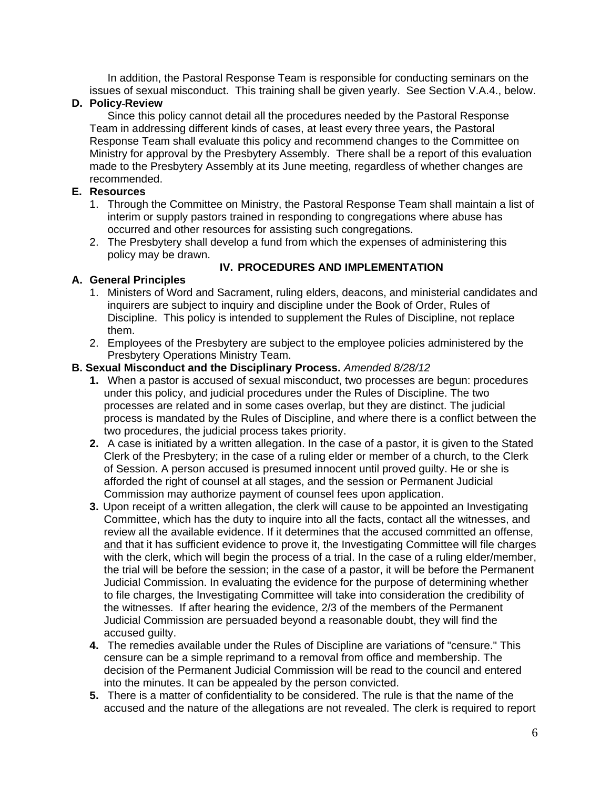In addition, the Pastoral Response Team is responsible for conducting seminars on the issues of sexual misconduct. This training shall be given yearly. See Section V.A.4., below.

## **D. Policy Review**

Since this policy cannot detail all the procedures needed by the Pastoral Response Team in addressing different kinds of cases, at least every three years, the Pastoral Response Team shall evaluate this policy and recommend changes to the Committee on Ministry for approval by the Presbytery Assembly. There shall be a report of this evaluation made to the Presbytery Assembly at its June meeting, regardless of whether changes are recommended.

### **E. Resources**

- 1. Through the Committee on Ministry, the Pastoral Response Team shall maintain a list of interim or supply pastors trained in responding to congregations where abuse has occurred and other resources for assisting such congregations.
- 2. The Presbytery shall develop a fund from which the expenses of administering this policy may be drawn.

#### **A. General Principles**

## **IV. PROCEDURES AND IMPLEMENTATION**

- 1. Ministers of Word and Sacrament, ruling elders, deacons, and ministerial candidates and inquirers are subject to inquiry and discipline under the Book of Order, Rules of Discipline. This policy is intended to supplement the Rules of Discipline, not replace them.
- 2. Employees of the Presbytery are subject to the employee policies administered by the Presbytery Operations Ministry Team.

#### **B. Sexual Misconduct and the Disciplinary Process.** *Amended 8/28/12*

- **1.** When a pastor is accused of sexual misconduct, two processes are begun: procedures under this policy, and judicial procedures under the Rules of Discipline. The two processes are related and in some cases overlap, but they are distinct. The judicial process is mandated by the Rules of Discipline, and where there is a conflict between the two procedures, the judicial process takes priority.
- **2.** A case is initiated by a written allegation. In the case of a pastor, it is given to the Stated Clerk of the Presbytery; in the case of a ruling elder or member of a church, to the Clerk of Session. A person accused is presumed innocent until proved guilty. He or she is afforded the right of counsel at all stages, and the session or Permanent Judicial Commission may authorize payment of counsel fees upon application.
- **3.** Upon receipt of a written allegation, the clerk will cause to be appointed an Investigating Committee, which has the duty to inquire into all the facts, contact all the witnesses, and review all the available evidence. If it determines that the accused committed an offense, and that it has sufficient evidence to prove it, the Investigating Committee will file charges with the clerk, which will begin the process of a trial. In the case of a ruling elder/member, the trial will be before the session; in the case of a pastor, it will be before the Permanent Judicial Commission. In evaluating the evidence for the purpose of determining whether to file charges, the Investigating Committee will take into consideration the credibility of the witnesses. If after hearing the evidence, 2/3 of the members of the Permanent Judicial Commission are persuaded beyond a reasonable doubt, they will find the accused guilty.
- **4.** The remedies available under the Rules of Discipline are variations of "censure." This censure can be a simple reprimand to a removal from office and membership. The decision of the Permanent Judicial Commission will be read to the council and entered into the minutes. It can be appealed by the person convicted.
- **5.** There is a matter of confidentiality to be considered. The rule is that the name of the accused and the nature of the allegations are not revealed. The clerk is required to report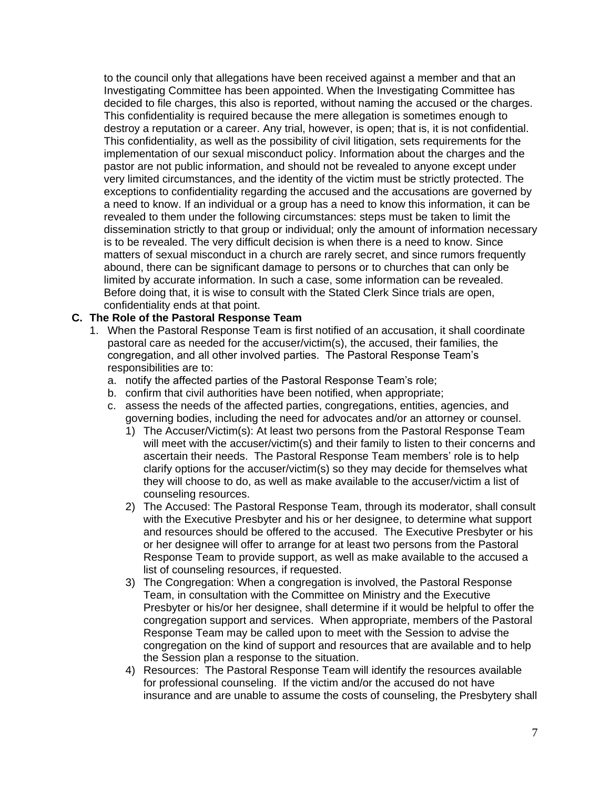to the council only that allegations have been received against a member and that an Investigating Committee has been appointed. When the Investigating Committee has decided to file charges, this also is reported, without naming the accused or the charges. This confidentiality is required because the mere allegation is sometimes enough to destroy a reputation or a career. Any trial, however, is open; that is, it is not confidential. This confidentiality, as well as the possibility of civil litigation, sets requirements for the implementation of our sexual misconduct policy. Information about the charges and the pastor are not public information, and should not be revealed to anyone except under very limited circumstances, and the identity of the victim must be strictly protected. The exceptions to confidentiality regarding the accused and the accusations are governed by a need to know. If an individual or a group has a need to know this information, it can be revealed to them under the following circumstances: steps must be taken to limit the dissemination strictly to that group or individual; only the amount of information necessary is to be revealed. The very difficult decision is when there is a need to know. Since matters of sexual misconduct in a church are rarely secret, and since rumors frequently abound, there can be significant damage to persons or to churches that can only be limited by accurate information. In such a case, some information can be revealed. Before doing that, it is wise to consult with the Stated Clerk Since trials are open, confidentiality ends at that point.

## **C. The Role of the Pastoral Response Team**

- 1. When the Pastoral Response Team is first notified of an accusation, it shall coordinate pastoral care as needed for the accuser/victim(s), the accused, their families, the congregation, and all other involved parties. The Pastoral Response Team's responsibilities are to:
	- a. notify the affected parties of the Pastoral Response Team's role;
	- b. confirm that civil authorities have been notified, when appropriate;
	- c. assess the needs of the affected parties, congregations, entities, agencies, and governing bodies, including the need for advocates and/or an attorney or counsel.
		- 1) The Accuser/Victim(s): At least two persons from the Pastoral Response Team will meet with the accuser/victim(s) and their family to listen to their concerns and ascertain their needs. The Pastoral Response Team members' role is to help clarify options for the accuser/victim(s) so they may decide for themselves what they will choose to do, as well as make available to the accuser/victim a list of counseling resources.
		- 2) The Accused: The Pastoral Response Team, through its moderator, shall consult with the Executive Presbyter and his or her designee, to determine what support and resources should be offered to the accused. The Executive Presbyter or his or her designee will offer to arrange for at least two persons from the Pastoral Response Team to provide support, as well as make available to the accused a list of counseling resources, if requested.
		- 3) The Congregation: When a congregation is involved, the Pastoral Response Team, in consultation with the Committee on Ministry and the Executive Presbyter or his/or her designee, shall determine if it would be helpful to offer the congregation support and services. When appropriate, members of the Pastoral Response Team may be called upon to meet with the Session to advise the congregation on the kind of support and resources that are available and to help the Session plan a response to the situation.
		- 4) Resources: The Pastoral Response Team will identify the resources available for professional counseling. If the victim and/or the accused do not have insurance and are unable to assume the costs of counseling, the Presbytery shall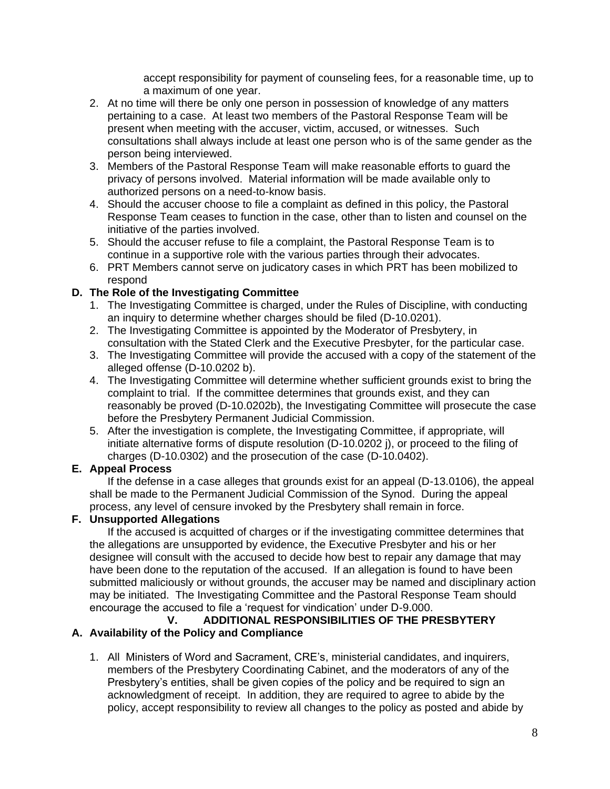accept responsibility for payment of counseling fees, for a reasonable time, up to a maximum of one year.

- 2. At no time will there be only one person in possession of knowledge of any matters pertaining to a case. At least two members of the Pastoral Response Team will be present when meeting with the accuser, victim, accused, or witnesses. Such consultations shall always include at least one person who is of the same gender as the person being interviewed.
- 3. Members of the Pastoral Response Team will make reasonable efforts to guard the privacy of persons involved. Material information will be made available only to authorized persons on a need-to-know basis.
- 4. Should the accuser choose to file a complaint as defined in this policy, the Pastoral Response Team ceases to function in the case, other than to listen and counsel on the initiative of the parties involved.
- 5. Should the accuser refuse to file a complaint, the Pastoral Response Team is to continue in a supportive role with the various parties through their advocates.
- 6. PRT Members cannot serve on judicatory cases in which PRT has been mobilized to respond

# **D. The Role of the Investigating Committee**

- 1. The Investigating Committee is charged, under the Rules of Discipline, with conducting an inquiry to determine whether charges should be filed (D-10.0201).
- 2. The Investigating Committee is appointed by the Moderator of Presbytery, in consultation with the Stated Clerk and the Executive Presbyter, for the particular case.
- 3. The Investigating Committee will provide the accused with a copy of the statement of the alleged offense (D-10.0202 b).
- 4. The Investigating Committee will determine whether sufficient grounds exist to bring the complaint to trial. If the committee determines that grounds exist, and they can reasonably be proved (D-10.0202b), the Investigating Committee will prosecute the case before the Presbytery Permanent Judicial Commission.
- 5. After the investigation is complete, the Investigating Committee, if appropriate, will initiate alternative forms of dispute resolution (D-10.0202 j), or proceed to the filing of charges (D-10.0302) and the prosecution of the case (D-10.0402).

# **E. Appeal Process**

If the defense in a case alleges that grounds exist for an appeal (D-13.0106), the appeal shall be made to the Permanent Judicial Commission of the Synod. During the appeal process, any level of censure invoked by the Presbytery shall remain in force.

#### **F. Unsupported Allegations**

If the accused is acquitted of charges or if the investigating committee determines that the allegations are unsupported by evidence, the Executive Presbyter and his or her designee will consult with the accused to decide how best to repair any damage that may have been done to the reputation of the accused. If an allegation is found to have been submitted maliciously or without grounds, the accuser may be named and disciplinary action may be initiated. The Investigating Committee and the Pastoral Response Team should encourage the accused to file a 'request for vindication' under D-9.000.

#### **V. ADDITIONAL RESPONSIBILITIES OF THE PRESBYTERY A. Availability of the Policy and Compliance**

1. All Ministers of Word and Sacrament, CRE's, ministerial candidates, and inquirers, members of the Presbytery Coordinating Cabinet, and the moderators of any of the Presbytery's entities, shall be given copies of the policy and be required to sign an acknowledgment of receipt. In addition, they are required to agree to abide by the policy, accept responsibility to review all changes to the policy as posted and abide by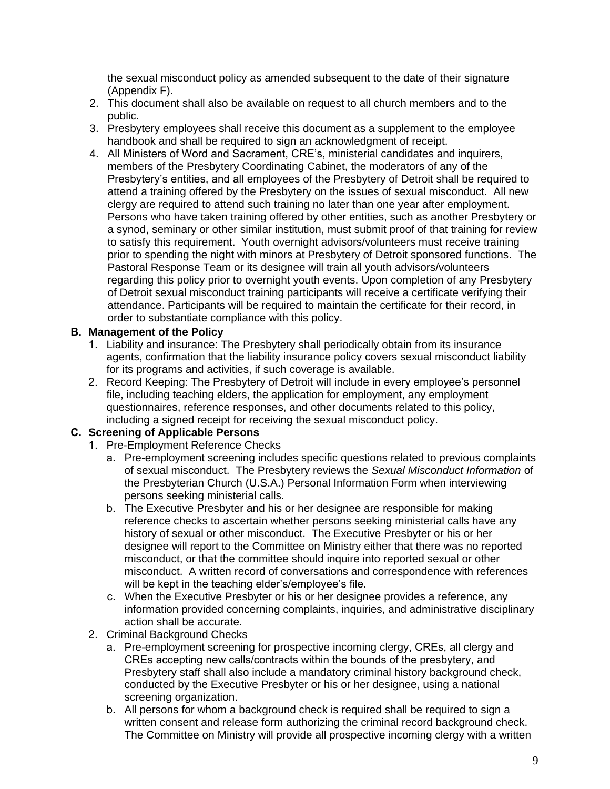the sexual misconduct policy as amended subsequent to the date of their signature (Appendix F).

- 2. This document shall also be available on request to all church members and to the public.
- 3. Presbytery employees shall receive this document as a supplement to the employee handbook and shall be required to sign an acknowledgment of receipt.
- 4. All Ministers of Word and Sacrament, CRE's, ministerial candidates and inquirers, members of the Presbytery Coordinating Cabinet, the moderators of any of the Presbytery's entities, and all employees of the Presbytery of Detroit shall be required to attend a training offered by the Presbytery on the issues of sexual misconduct. All new clergy are required to attend such training no later than one year after employment. Persons who have taken training offered by other entities, such as another Presbytery or a synod, seminary or other similar institution, must submit proof of that training for review to satisfy this requirement. Youth overnight advisors/volunteers must receive training prior to spending the night with minors at Presbytery of Detroit sponsored functions. The Pastoral Response Team or its designee will train all youth advisors/volunteers regarding this policy prior to overnight youth events. Upon completion of any Presbytery of Detroit sexual misconduct training participants will receive a certificate verifying their attendance. Participants will be required to maintain the certificate for their record, in order to substantiate compliance with this policy.

## **B. Management of the Policy**

- 1. Liability and insurance: The Presbytery shall periodically obtain from its insurance agents, confirmation that the liability insurance policy covers sexual misconduct liability for its programs and activities, if such coverage is available.
- 2. Record Keeping: The Presbytery of Detroit will include in every employee's personnel file, including teaching elders, the application for employment, any employment questionnaires, reference responses, and other documents related to this policy, including a signed receipt for receiving the sexual misconduct policy.

# **C. Screening of Applicable Persons**

- 1. Pre-Employment Reference Checks
	- a. Pre-employment screening includes specific questions related to previous complaints of sexual misconduct. The Presbytery reviews the *Sexual Misconduct Information* of the Presbyterian Church (U.S.A.) Personal Information Form when interviewing persons seeking ministerial calls.
	- b. The Executive Presbyter and his or her designee are responsible for making reference checks to ascertain whether persons seeking ministerial calls have any history of sexual or other misconduct. The Executive Presbyter or his or her designee will report to the Committee on Ministry either that there was no reported misconduct, or that the committee should inquire into reported sexual or other misconduct. A written record of conversations and correspondence with references will be kept in the teaching elder's/employee's file.
	- c. When the Executive Presbyter or his or her designee provides a reference, any information provided concerning complaints, inquiries, and administrative disciplinary action shall be accurate.
- 2. Criminal Background Checks
	- a. Pre-employment screening for prospective incoming clergy, CREs, all clergy and CREs accepting new calls/contracts within the bounds of the presbytery, and Presbytery staff shall also include a mandatory criminal history background check, conducted by the Executive Presbyter or his or her designee, using a national screening organization.
	- b. All persons for whom a background check is required shall be required to sign a written consent and release form authorizing the criminal record background check. The Committee on Ministry will provide all prospective incoming clergy with a written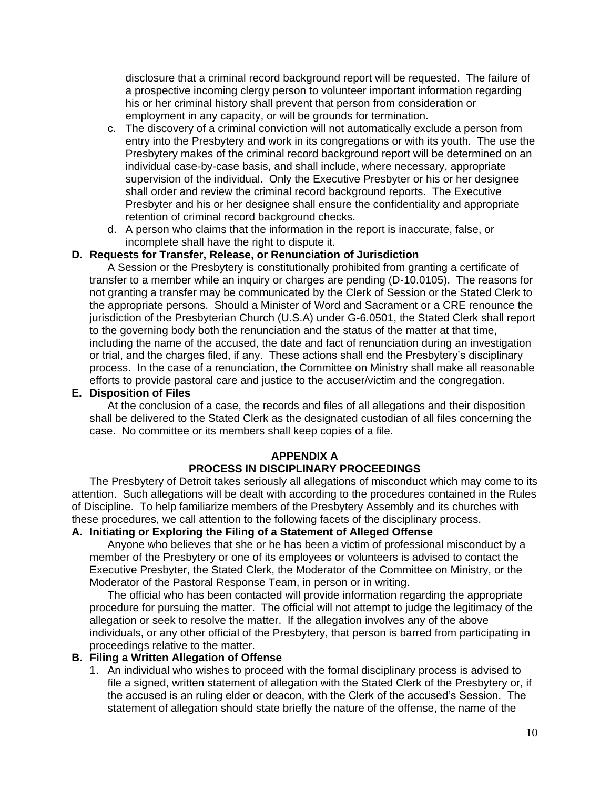disclosure that a criminal record background report will be requested. The failure of a prospective incoming clergy person to volunteer important information regarding his or her criminal history shall prevent that person from consideration or employment in any capacity, or will be grounds for termination.

- c. The discovery of a criminal conviction will not automatically exclude a person from entry into the Presbytery and work in its congregations or with its youth. The use the Presbytery makes of the criminal record background report will be determined on an individual case-by-case basis, and shall include, where necessary, appropriate supervision of the individual. Only the Executive Presbyter or his or her designee shall order and review the criminal record background reports. The Executive Presbyter and his or her designee shall ensure the confidentiality and appropriate retention of criminal record background checks.
- d. A person who claims that the information in the report is inaccurate, false, or incomplete shall have the right to dispute it.

#### **D. Requests for Transfer, Release, or Renunciation of Jurisdiction**

A Session or the Presbytery is constitutionally prohibited from granting a certificate of transfer to a member while an inquiry or charges are pending (D-10.0105). The reasons for not granting a transfer may be communicated by the Clerk of Session or the Stated Clerk to the appropriate persons. Should a Minister of Word and Sacrament or a CRE renounce the jurisdiction of the Presbyterian Church (U.S.A) under G-6.0501, the Stated Clerk shall report to the governing body both the renunciation and the status of the matter at that time, including the name of the accused, the date and fact of renunciation during an investigation or trial, and the charges filed, if any. These actions shall end the Presbytery's disciplinary process. In the case of a renunciation, the Committee on Ministry shall make all reasonable efforts to provide pastoral care and justice to the accuser/victim and the congregation.

#### **E. Disposition of Files**

At the conclusion of a case, the records and files of all allegations and their disposition shall be delivered to the Stated Clerk as the designated custodian of all files concerning the case. No committee or its members shall keep copies of a file.

#### **APPENDIX A**

#### **PROCESS IN DISCIPLINARY PROCEEDINGS**

The Presbytery of Detroit takes seriously all allegations of misconduct which may come to its attention. Such allegations will be dealt with according to the procedures contained in the Rules of Discipline. To help familiarize members of the Presbytery Assembly and its churches with these procedures, we call attention to the following facets of the disciplinary process.

#### **A. Initiating or Exploring the Filing of a Statement of Alleged Offense**

Anyone who believes that she or he has been a victim of professional misconduct by a member of the Presbytery or one of its employees or volunteers is advised to contact the Executive Presbyter, the Stated Clerk, the Moderator of the Committee on Ministry, or the Moderator of the Pastoral Response Team, in person or in writing.

The official who has been contacted will provide information regarding the appropriate procedure for pursuing the matter. The official will not attempt to judge the legitimacy of the allegation or seek to resolve the matter. If the allegation involves any of the above individuals, or any other official of the Presbytery, that person is barred from participating in proceedings relative to the matter.

#### **B. Filing a Written Allegation of Offense**

1. An individual who wishes to proceed with the formal disciplinary process is advised to file a signed, written statement of allegation with the Stated Clerk of the Presbytery or, if the accused is an ruling elder or deacon, with the Clerk of the accused's Session. The statement of allegation should state briefly the nature of the offense, the name of the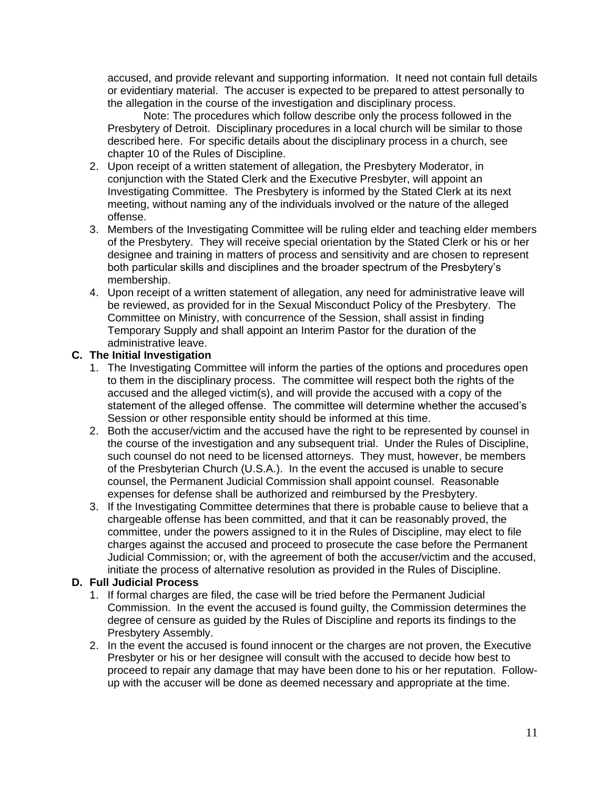accused, and provide relevant and supporting information. It need not contain full details or evidentiary material. The accuser is expected to be prepared to attest personally to the allegation in the course of the investigation and disciplinary process.

Note: The procedures which follow describe only the process followed in the Presbytery of Detroit. Disciplinary procedures in a local church will be similar to those described here. For specific details about the disciplinary process in a church, see chapter 10 of the Rules of Discipline.

- 2. Upon receipt of a written statement of allegation, the Presbytery Moderator, in conjunction with the Stated Clerk and the Executive Presbyter, will appoint an Investigating Committee. The Presbytery is informed by the Stated Clerk at its next meeting, without naming any of the individuals involved or the nature of the alleged offense.
- 3. Members of the Investigating Committee will be ruling elder and teaching elder members of the Presbytery. They will receive special orientation by the Stated Clerk or his or her designee and training in matters of process and sensitivity and are chosen to represent both particular skills and disciplines and the broader spectrum of the Presbytery's membership.
- 4. Upon receipt of a written statement of allegation, any need for administrative leave will be reviewed, as provided for in the Sexual Misconduct Policy of the Presbytery. The Committee on Ministry, with concurrence of the Session, shall assist in finding Temporary Supply and shall appoint an Interim Pastor for the duration of the administrative leave.

# **C. The Initial Investigation**

- 1. The Investigating Committee will inform the parties of the options and procedures open to them in the disciplinary process. The committee will respect both the rights of the accused and the alleged victim(s), and will provide the accused with a copy of the statement of the alleged offense. The committee will determine whether the accused's Session or other responsible entity should be informed at this time.
- 2. Both the accuser/victim and the accused have the right to be represented by counsel in the course of the investigation and any subsequent trial. Under the Rules of Discipline, such counsel do not need to be licensed attorneys. They must, however, be members of the Presbyterian Church (U.S.A.). In the event the accused is unable to secure counsel, the Permanent Judicial Commission shall appoint counsel. Reasonable expenses for defense shall be authorized and reimbursed by the Presbytery.
- 3. If the Investigating Committee determines that there is probable cause to believe that a chargeable offense has been committed, and that it can be reasonably proved, the committee, under the powers assigned to it in the Rules of Discipline, may elect to file charges against the accused and proceed to prosecute the case before the Permanent Judicial Commission; or, with the agreement of both the accuser/victim and the accused, initiate the process of alternative resolution as provided in the Rules of Discipline.

#### **D. Full Judicial Process**

- 1. If formal charges are filed, the case will be tried before the Permanent Judicial Commission. In the event the accused is found guilty, the Commission determines the degree of censure as guided by the Rules of Discipline and reports its findings to the Presbytery Assembly.
- 2. In the event the accused is found innocent or the charges are not proven, the Executive Presbyter or his or her designee will consult with the accused to decide how best to proceed to repair any damage that may have been done to his or her reputation. Followup with the accuser will be done as deemed necessary and appropriate at the time.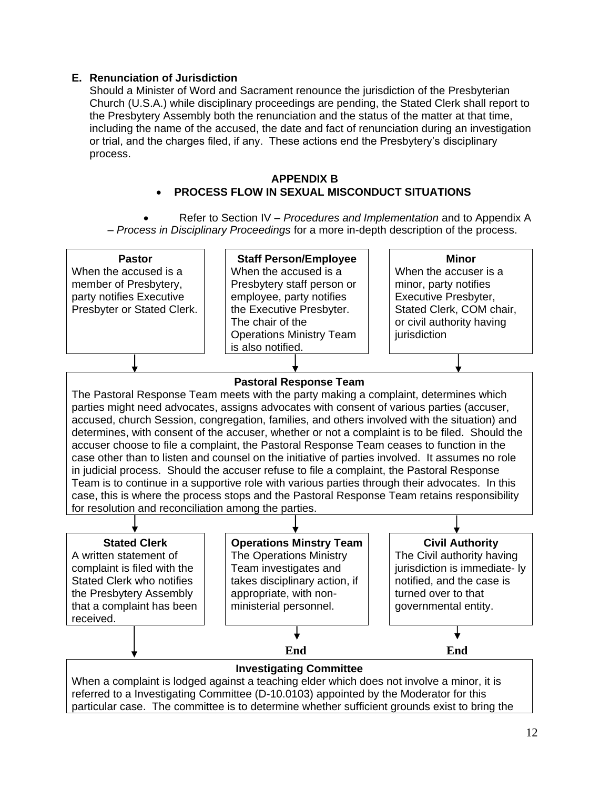## **E. Renunciation of Jurisdiction**

Should a Minister of Word and Sacrament renounce the jurisdiction of the Presbyterian Church (U.S.A.) while disciplinary proceedings are pending, the Stated Clerk shall report to the Presbytery Assembly both the renunciation and the status of the matter at that time, including the name of the accused, the date and fact of renunciation during an investigation or trial, and the charges filed, if any. These actions end the Presbytery's disciplinary process.

#### **APPENDIX B** • **PROCESS FLOW IN SEXUAL MISCONDUCT SITUATIONS**

• Refer to Section IV – *Procedures and Implementation* and to Appendix A – *Process in Disciplinary Proceedings* for a more in-depth description of the process.

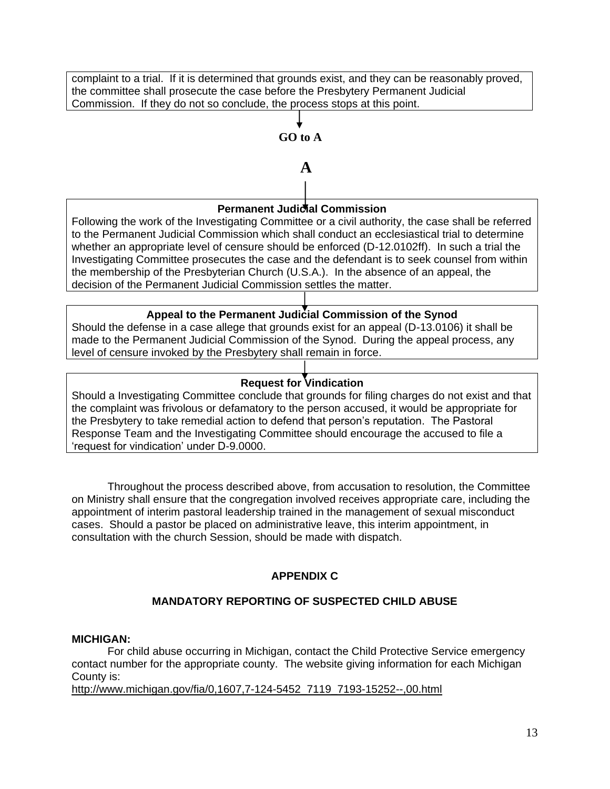complaint to a trial. If it is determined that grounds exist, and they can be reasonably proved, the committee shall prosecute the case before the Presbytery Permanent Judicial Commission. If they do not so conclude, the process stops at this point.

# **GO to A**

 **A**

# **Permanent Judidial Commission**

Following the work of the Investigating Committee or a civil authority, the case shall be referred to the Permanent Judicial Commission which shall conduct an ecclesiastical trial to determine whether an appropriate level of censure should be enforced (D-12.0102ff). In such a trial the Investigating Committee prosecutes the case and the defendant is to seek counsel from within the membership of the Presbyterian Church (U.S.A.). In the absence of an appeal, the decision of the Permanent Judicial Commission settles the matter.

# **Appeal to the Permanent Judicial Commission of the Synod**

Should the defense in a case allege that grounds exist for an appeal (D-13.0106) it shall be made to the Permanent Judicial Commission of the Synod. During the appeal process, any level of censure invoked by the Presbytery shall remain in force.

# **Request for Vindication**

Should a Investigating Committee conclude that grounds for filing charges do not exist and that the complaint was frivolous or defamatory to the person accused, it would be appropriate for the Presbytery to take remedial action to defend that person's reputation. The Pastoral Response Team and the Investigating Committee should encourage the accused to file a 'request for vindication' under D-9.0000.

Throughout the process described above, from accusation to resolution, the Committee on Ministry shall ensure that the congregation involved receives appropriate care, including the appointment of interim pastoral leadership trained in the management of sexual misconduct cases. Should a pastor be placed on administrative leave, this interim appointment, in consultation with the church Session, should be made with dispatch.

# **APPENDIX C**

# **MANDATORY REPORTING OF SUSPECTED CHILD ABUSE**

#### **MICHIGAN:**

For child abuse occurring in Michigan, contact the Child Protective Service emergency contact number for the appropriate county. The website giving information for each Michigan County is:

[http://www.michigan.gov/fia/0,1607,7-124-5452\\_7119\\_7193-15252--,00.html](http://www.michigan.gov/fia/0,1607,7-124-5452_7119_7193-15252--,00.html)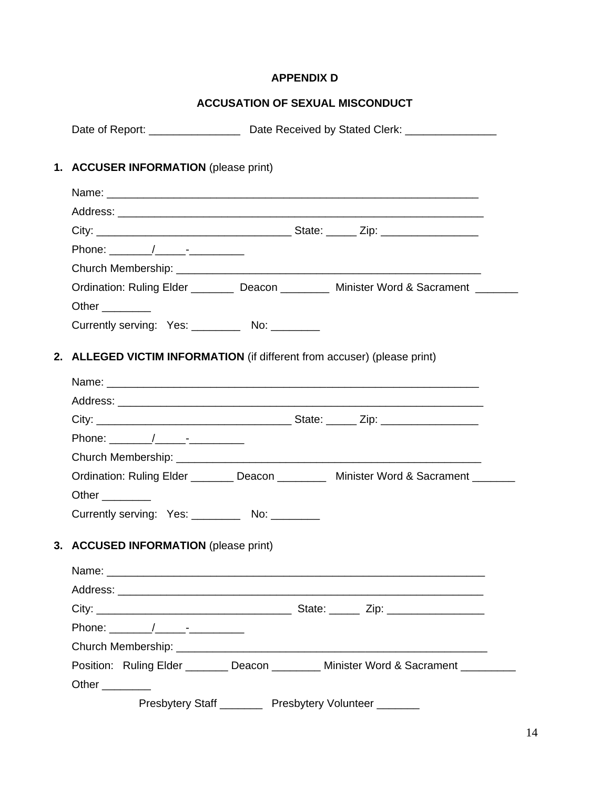# **APPENDIX D**

# **ACCUSATION OF SEXUAL MISCONDUCT**

|                                               | Date of Report: _______________________ Date Received by Stated Clerk: ________________ |  |
|-----------------------------------------------|-----------------------------------------------------------------------------------------|--|
| 1. ACCUSER INFORMATION (please print)         |                                                                                         |  |
|                                               |                                                                                         |  |
|                                               |                                                                                         |  |
|                                               |                                                                                         |  |
|                                               |                                                                                         |  |
|                                               |                                                                                         |  |
|                                               | Ordination: Ruling Elder ________ Deacon ________ Minister Word & Sacrament _______     |  |
| Other $\_\_$                                  |                                                                                         |  |
| Currently serving: Yes: _________ No: _______ |                                                                                         |  |
|                                               | 2. ALLEGED VICTIM INFORMATION (if different from accuser) (please print)                |  |
|                                               |                                                                                         |  |
|                                               |                                                                                         |  |
|                                               |                                                                                         |  |
| Phone: $\sqrt{2.5}$                           |                                                                                         |  |
|                                               |                                                                                         |  |
|                                               | Ordination: Ruling Elder ________ Deacon ________ Minister Word & Sacrament _______     |  |
| Other _________                               |                                                                                         |  |
| Currently serving: Yes: No: No:               |                                                                                         |  |
| 3. ACCUSED INFORMATION (please print)         |                                                                                         |  |
|                                               |                                                                                         |  |
|                                               |                                                                                         |  |
|                                               |                                                                                         |  |
|                                               |                                                                                         |  |
| Phone: $\sqrt{2.5}$                           |                                                                                         |  |
|                                               |                                                                                         |  |
|                                               | Position: Ruling Elder _______ Deacon ________ Minister Word & Sacrament ________       |  |
| Other _________                               | Presbytery Staff __________ Presbytery Volunteer _______                                |  |
|                                               |                                                                                         |  |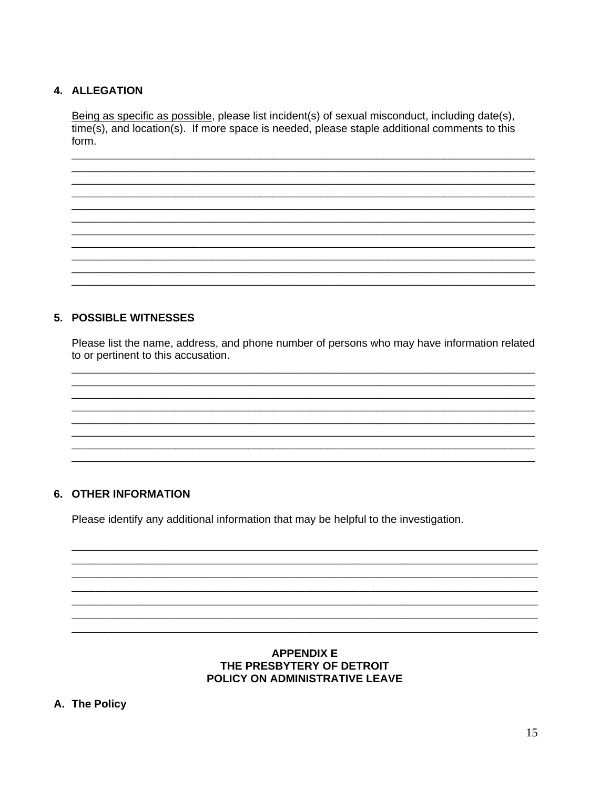# 4. ALLEGATION

Being as specific as possible, please list incident(s) of sexual misconduct, including date(s),  $time(s)$ , and location(s). If more space is needed, please staple additional comments to this form.

## 5. POSSIBLE WITNESSES

Please list the name, address, and phone number of persons who may have information related to or pertinent to this accusation.

### **6. OTHER INFORMATION**

Please identify any additional information that may be helpful to the investigation.

#### **APPENDIX E** THE PRESBYTERY OF DETROIT POLICY ON ADMINISTRATIVE LEAVE

A. The Policy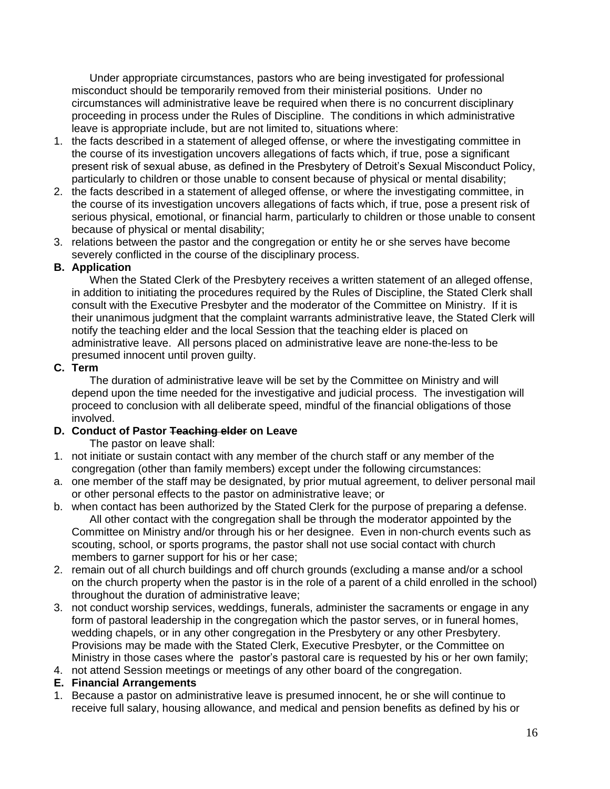Under appropriate circumstances, pastors who are being investigated for professional misconduct should be temporarily removed from their ministerial positions. Under no circumstances will administrative leave be required when there is no concurrent disciplinary proceeding in process under the Rules of Discipline. The conditions in which administrative leave is appropriate include, but are not limited to, situations where:

- 1. the facts described in a statement of alleged offense, or where the investigating committee in the course of its investigation uncovers allegations of facts which, if true, pose a significant present risk of sexual abuse, as defined in the Presbytery of Detroit's Sexual Misconduct Policy, particularly to children or those unable to consent because of physical or mental disability;
- 2. the facts described in a statement of alleged offense, or where the investigating committee, in the course of its investigation uncovers allegations of facts which, if true, pose a present risk of serious physical, emotional, or financial harm, particularly to children or those unable to consent because of physical or mental disability;
- 3. relations between the pastor and the congregation or entity he or she serves have become severely conflicted in the course of the disciplinary process.

# **B. Application**

When the Stated Clerk of the Presbytery receives a written statement of an alleged offense, in addition to initiating the procedures required by the Rules of Discipline, the Stated Clerk shall consult with the Executive Presbyter and the moderator of the Committee on Ministry. If it is their unanimous judgment that the complaint warrants administrative leave, the Stated Clerk will notify the teaching elder and the local Session that the teaching elder is placed on administrative leave. All persons placed on administrative leave are none-the-less to be presumed innocent until proven guilty.

## **C. Term**

The duration of administrative leave will be set by the Committee on Ministry and will depend upon the time needed for the investigative and judicial process. The investigation will proceed to conclusion with all deliberate speed, mindful of the financial obligations of those involved.

# **D. Conduct of Pastor Teaching elder on Leave**

The pastor on leave shall:

- 1. not initiate or sustain contact with any member of the church staff or any member of the congregation (other than family members) except under the following circumstances:
- a. one member of the staff may be designated, by prior mutual agreement, to deliver personal mail or other personal effects to the pastor on administrative leave; or
- b. when contact has been authorized by the Stated Clerk for the purpose of preparing a defense. All other contact with the congregation shall be through the moderator appointed by the Committee on Ministry and/or through his or her designee. Even in non-church events such as scouting, school, or sports programs, the pastor shall not use social contact with church members to garner support for his or her case;
- 2. remain out of all church buildings and off church grounds (excluding a manse and/or a school on the church property when the pastor is in the role of a parent of a child enrolled in the school) throughout the duration of administrative leave;
- 3. not conduct worship services, weddings, funerals, administer the sacraments or engage in any form of pastoral leadership in the congregation which the pastor serves, or in funeral homes, wedding chapels, or in any other congregation in the Presbytery or any other Presbytery. Provisions may be made with the Stated Clerk, Executive Presbyter, or the Committee on Ministry in those cases where the pastor's pastoral care is requested by his or her own family;
- 4. not attend Session meetings or meetings of any other board of the congregation.

# **E. Financial Arrangements**

1. Because a pastor on administrative leave is presumed innocent, he or she will continue to receive full salary, housing allowance, and medical and pension benefits as defined by his or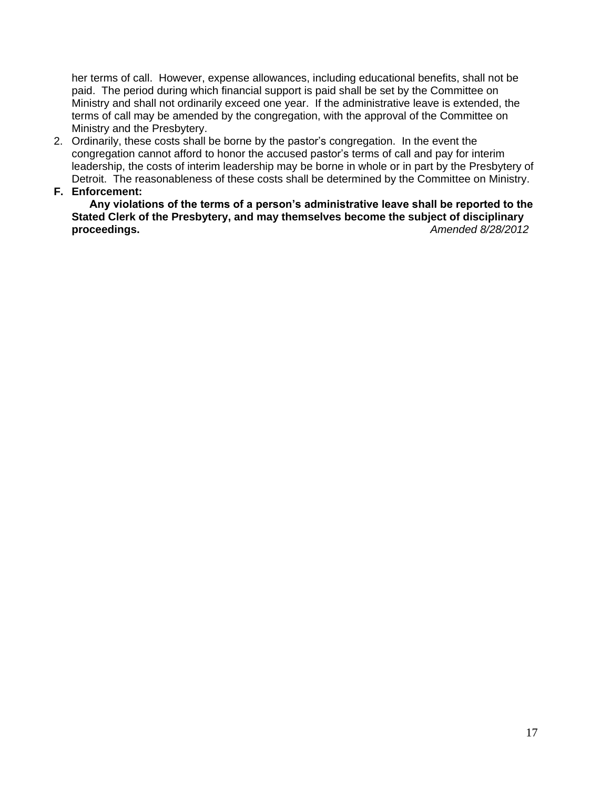her terms of call. However, expense allowances, including educational benefits, shall not be paid. The period during which financial support is paid shall be set by the Committee on Ministry and shall not ordinarily exceed one year. If the administrative leave is extended, the terms of call may be amended by the congregation, with the approval of the Committee on Ministry and the Presbytery.

- 2. Ordinarily, these costs shall be borne by the pastor's congregation. In the event the congregation cannot afford to honor the accused pastor's terms of call and pay for interim leadership, the costs of interim leadership may be borne in whole or in part by the Presbytery of Detroit. The reasonableness of these costs shall be determined by the Committee on Ministry.
- **F. Enforcement:**

**Any violations of the terms of a person's administrative leave shall be reported to the Stated Clerk of the Presbytery, and may themselves become the subject of disciplinary proceedings.** *Amended 8/28/2012*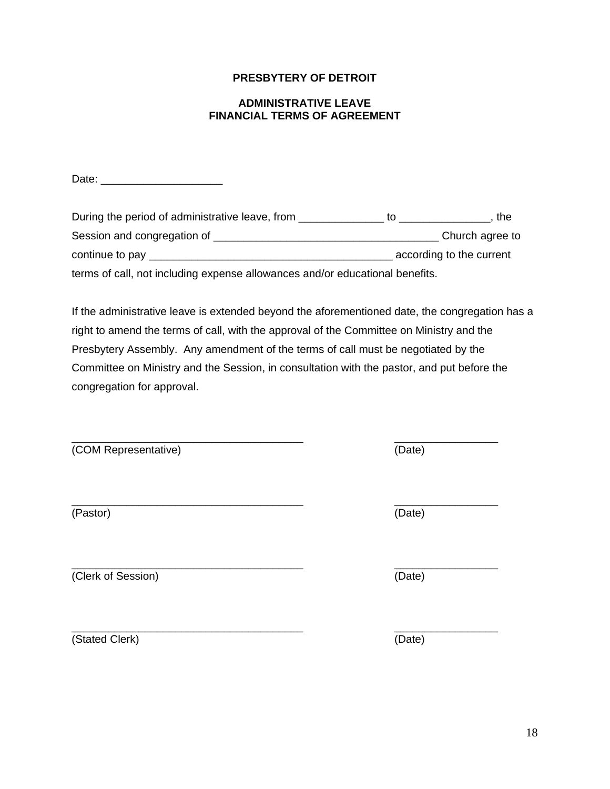18

# **PRESBYTERY OF DETROIT**

#### **ADMINISTRATIVE LEAVE FINANCIAL TERMS OF AGREEMENT**

Date: \_\_\_\_\_\_\_\_\_\_\_\_\_\_\_\_\_\_\_\_

During the period of administrative leave, from \_\_\_\_\_\_\_\_\_\_\_\_\_\_\_\_\_ to \_\_\_\_\_\_\_\_\_\_\_\_\_\_, the Session and congregation of \_\_\_\_\_\_\_\_\_\_\_\_\_\_\_\_\_\_\_\_\_\_\_\_\_\_\_\_\_\_\_\_\_\_\_\_\_ Church agree to continue to pay \_\_\_\_\_\_\_\_\_\_\_\_\_\_\_\_\_\_\_\_\_\_\_\_\_\_\_\_\_\_\_\_\_\_\_\_\_\_\_\_ according to the current terms of call, not including expense allowances and/or educational benefits.

If the administrative leave is extended beyond the aforementioned date, the congregation has a right to amend the terms of call, with the approval of the Committee on Ministry and the Presbytery Assembly. Any amendment of the terms of call must be negotiated by the Committee on Ministry and the Session, in consultation with the pastor, and put before the congregation for approval.

(COM Representative) (Date)

(Pastor) (Date)

(Clerk of Session) (Date)

\_\_\_\_\_\_\_\_\_\_\_\_\_\_\_\_\_\_\_\_\_\_\_\_\_\_\_\_\_\_\_\_\_\_\_\_\_\_ \_\_\_\_\_\_\_\_\_\_\_\_\_\_\_\_\_ (Stated Clerk) (Date)

\_\_\_\_\_\_\_\_\_\_\_\_\_\_\_\_\_\_\_\_\_\_\_\_\_\_\_\_\_\_\_\_\_\_\_\_\_\_ \_\_\_\_\_\_\_\_\_\_\_\_\_\_\_\_\_

\_\_\_\_\_\_\_\_\_\_\_\_\_\_\_\_\_\_\_\_\_\_\_\_\_\_\_\_\_\_\_\_\_\_\_\_\_\_ \_\_\_\_\_\_\_\_\_\_\_\_\_\_\_\_\_

\_\_\_\_\_\_\_\_\_\_\_\_\_\_\_\_\_\_\_\_\_\_\_\_\_\_\_\_\_\_\_\_\_\_\_\_\_\_ \_\_\_\_\_\_\_\_\_\_\_\_\_\_\_\_\_